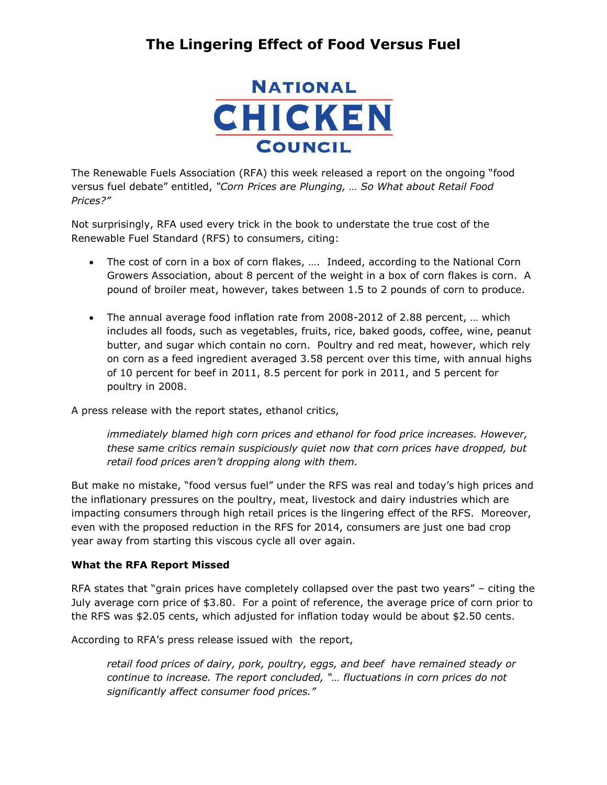

The Renewable Fuels Association (RFA) this week released a report on the ongoing "food versus fuel debate" entitled, *"Corn Prices are Plunging, … So What about Retail Food Prices?"*

Not surprisingly, RFA used every trick in the book to understate the true cost of the Renewable Fuel Standard (RFS) to consumers, citing:

- The cost of corn in a box of corn flakes, …. Indeed, according to the National Corn Growers Association, about 8 percent of the weight in a box of corn flakes is corn. A pound of broiler meat, however, takes between 1.5 to 2 pounds of corn to produce.
- The annual average food inflation rate from 2008-2012 of 2.88 percent, … which includes all foods, such as vegetables, fruits, rice, baked goods, coffee, wine, peanut butter, and sugar which contain no corn. Poultry and red meat, however, which rely on corn as a feed ingredient averaged 3.58 percent over this time, with annual highs of 10 percent for beef in 2011, 8.5 percent for pork in 2011, and 5 percent for poultry in 2008.

A press release with the report states, ethanol critics,

*immediately blamed high corn prices and ethanol for food price increases. However, these same critics remain suspiciously quiet now that corn prices have dropped, but retail food prices aren't dropping along with them.*

But make no mistake, "food versus fuel" under the RFS was real and today's high prices and the inflationary pressures on the poultry, meat, livestock and dairy industries which are impacting consumers through high retail prices is the lingering effect of the RFS. Moreover, even with the proposed reduction in the RFS for 2014, consumers are just one bad crop year away from starting this viscous cycle all over again.

#### **What the RFA Report Missed**

RFA states that "grain prices have completely collapsed over the past two years" – citing the July average corn price of \$3.80. For a point of reference, the average price of corn prior to the RFS was \$2.05 cents, which adjusted for inflation today would be about \$2.50 cents.

According to RFA's press release issued with the report,

*retail food prices of dairy, pork, poultry, eggs, and beef have remained steady or continue to increase. The report concluded, "… fluctuations in corn prices do not significantly affect consumer food prices."*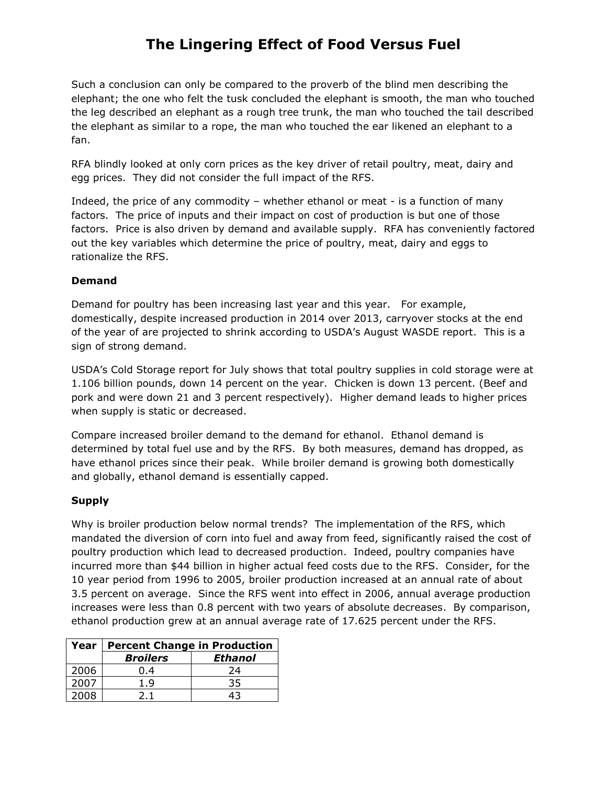Such a conclusion can only be compared to the proverb of the blind men describing the elephant; the one who felt the tusk concluded the elephant is smooth, the man who touched the leg described an elephant as a rough tree trunk, the man who touched the tail described the elephant as similar to a rope, the man who touched the ear likened an elephant to a fan.

RFA blindly looked at only corn prices as the key driver of retail poultry, meat, dairy and egg prices. They did not consider the full impact of the RFS.

Indeed, the price of any commodity – whether ethanol or meat - is a function of many factors. The price of inputs and their impact on cost of production is but one of those factors. Price is also driven by demand and available supply. RFA has conveniently factored out the key variables which determine the price of poultry, meat, dairy and eggs to rationalize the RFS.

#### **Demand**

Demand for poultry has been increasing last year and this year. For example, domestically, despite increased production in 2014 over 2013, carryover stocks at the end of the year of are projected to shrink according to USDA's August WASDE report. This is a sign of strong demand.

USDA's Cold Storage report for July shows that total poultry supplies in cold storage were at 1.106 billion pounds, down 14 percent on the year. Chicken is down 13 percent. (Beef and pork and were down 21 and 3 percent respectively). Higher demand leads to higher prices when supply is static or decreased.

Compare increased broiler demand to the demand for ethanol. Ethanol demand is determined by total fuel use and by the RFS. By both measures, demand has dropped, as have ethanol prices since their peak. While broiler demand is growing both domestically and globally, ethanol demand is essentially capped.

### **Supply**

Why is broiler production below normal trends? The implementation of the RFS, which mandated the diversion of corn into fuel and away from feed, significantly raised the cost of poultry production which lead to decreased production. Indeed, poultry companies have incurred more than \$44 billion in higher actual feed costs due to the RFS. Consider, for the 10 year period from 1996 to 2005, broiler production increased at an annual rate of about 3.5 percent on average. Since the RFS went into effect in 2006, annual average production increases were less than 0.8 percent with two years of absolute decreases. By comparison, ethanol production grew at an annual average rate of 17.625 percent under the RFS.

| Year | <b>Percent Change in Production</b> |         |
|------|-------------------------------------|---------|
|      | <b>Broilers</b>                     | Ethanol |
| 2006 | 0.4                                 | 24      |
| 2007 | 1.9                                 | 35      |
| 2008 | 21                                  |         |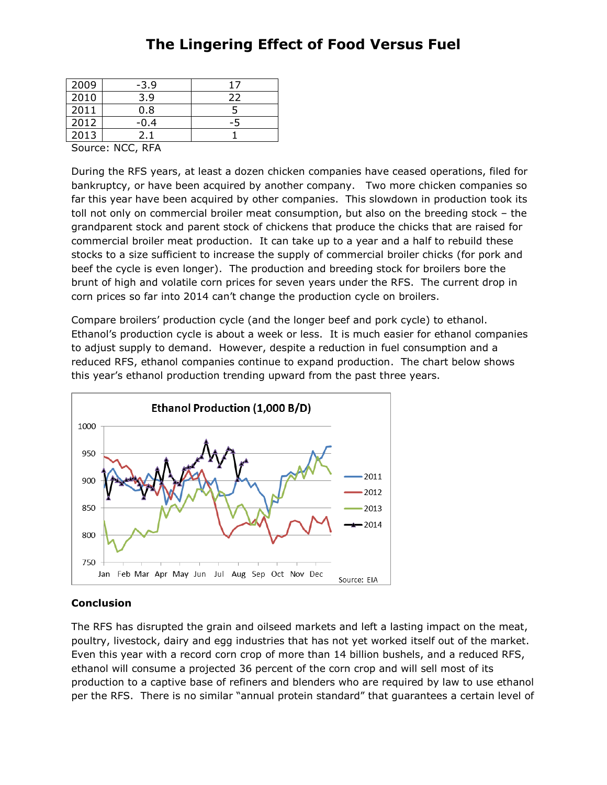| 2009 | $-3.9$ |    |
|------|--------|----|
| 2010 | 3.9    | 22 |
| 2011 | 0.8    |    |
| 2012 | -0.4   |    |
| 2013 |        |    |

Source: NCC, RFA

During the RFS years, at least a dozen chicken companies have ceased operations, filed for bankruptcy, or have been acquired by another company. Two more chicken companies so far this year have been acquired by other companies. This slowdown in production took its toll not only on commercial broiler meat consumption, but also on the breeding stock – the grandparent stock and parent stock of chickens that produce the chicks that are raised for commercial broiler meat production. It can take up to a year and a half to rebuild these stocks to a size sufficient to increase the supply of commercial broiler chicks (for pork and beef the cycle is even longer). The production and breeding stock for broilers bore the brunt of high and volatile corn prices for seven years under the RFS. The current drop in corn prices so far into 2014 can't change the production cycle on broilers.

Compare broilers' production cycle (and the longer beef and pork cycle) to ethanol. Ethanol's production cycle is about a week or less. It is much easier for ethanol companies to adjust supply to demand. However, despite a reduction in fuel consumption and a reduced RFS, ethanol companies continue to expand production. The chart below shows this year's ethanol production trending upward from the past three years.



#### **Conclusion**

The RFS has disrupted the grain and oilseed markets and left a lasting impact on the meat, poultry, livestock, dairy and egg industries that has not yet worked itself out of the market. Even this year with a record corn crop of more than 14 billion bushels, and a reduced RFS, ethanol will consume a projected 36 percent of the corn crop and will sell most of its production to a captive base of refiners and blenders who are required by law to use ethanol per the RFS. There is no similar "annual protein standard" that guarantees a certain level of